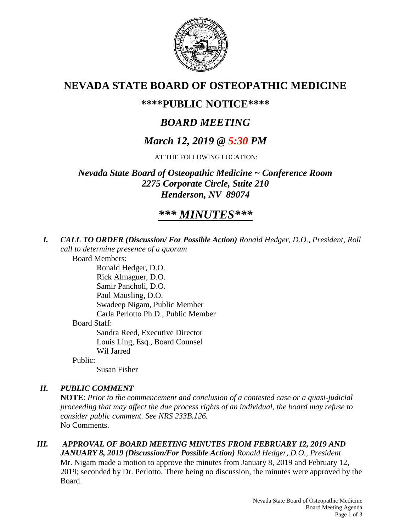

## **NEVADA STATE BOARD OF OSTEOPATHIC MEDICINE**

### **\*\*\*\*PUBLIC NOTICE\*\*\*\***

# *BOARD MEETING*

## *March 12, 2019 @ 5:30 PM*

AT THE FOLLOWING LOCATION:

*Nevada State Board of Osteopathic Medicine ~ Conference Room 2275 Corporate Circle, Suite 210 Henderson, NV 89074*

# *\*\*\* MINUTES\*\*\**

*I. CALL TO ORDER (Discussion/ For Possible Action) Ronald Hedger, D.O., President, Roll call to determine presence of a quorum*

Board Members:

Ronald Hedger, D.O. Rick Almaguer, D.O. Samir Pancholi, D.O. Paul Mausling, D.O. Swadeep Nigam, Public Member Carla Perlotto Ph.D., Public Member Board Staff: Sandra Reed, Executive Director Louis Ling, Esq., Board Counsel Wil Jarred Public:

Susan Fisher

### *II. PUBLIC COMMENT*

**NOTE**: *Prior to the commencement and conclusion of a contested case or a quasi-judicial proceeding that may affect the due process rights of an individual, the board may refuse to consider public comment. See NRS 233B.126.* No Comments.

*III. APPROVAL OF BOARD MEETING MINUTES FROM FEBRUARY 12, 2019 AND JANUARY 8, 2019 (Discussion/For Possible Action) Ronald Hedger, D.O., President* Mr. Nigam made a motion to approve the minutes from January 8, 2019 and February 12, 2019; seconded by Dr. Perlotto. There being no discussion, the minutes were approved by the Board.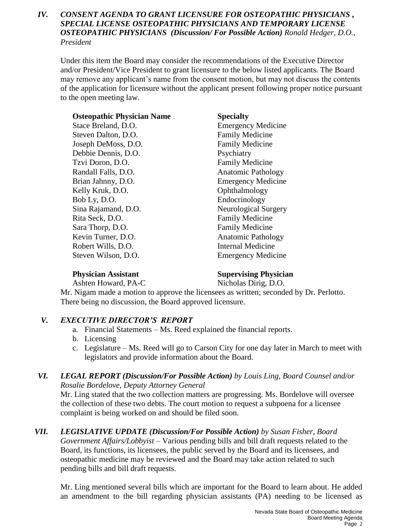#### *IV. CONSENT AGENDA TO GRANT LICENSURE FOR OSTEOPATHIC PHYSICIANS , SPECIAL LICENSE OSTEOPATHIC PHYSICIANS AND TEMPORARY LICENSE OSTEOPATHIC PHYSICIANS (Discussion/ For Possible Action) Ronald Hedger, D.O., President*

Under this item the Board may consider the recommendations of the Executive Director and/or President/Vice President to grant licensure to the below listed applicants. The Board may remove any applicant's name from the consent motion, but may not discuss the contents of the application for licensure without the applicant present following proper notice pursuant to the open meeting law.

| <b>Osteopathic Physician Name</b> | <b>Specialty</b>          |
|-----------------------------------|---------------------------|
| Stace Breland, D.O.               | <b>Emergency Medicine</b> |
| Steven Dalton, D.O.               | <b>Family Medicine</b>    |
| Joseph DeMoss, D.O.               | <b>Family Medicine</b>    |
| Debbie Dennis, D.O.               | Psychiatry                |
| Tzvi Doron, D.O.                  | <b>Family Medicine</b>    |
| Randall Falls, D.O.               | <b>Anatomic Pathology</b> |
| Brian Jahnny, D.O.                | <b>Emergency Medicine</b> |
| Kelly Kruk, D.O.                  | Ophthalmology             |
| Bob Ly, D.O.                      | Endocrinology             |
| Sina Rajamand, D.O.               | Neurological Surgery      |
| Rita Seck, D.O.                   | <b>Family Medicine</b>    |
| Sara Thorp, D.O.                  | <b>Family Medicine</b>    |
| Kevin Turner, D.O.                | <b>Anatomic Pathology</b> |
| Robert Wills, D.O.                | <b>Internal Medicine</b>  |
| Steven Wilson, D.O.               | <b>Emergency Medicine</b> |

#### **Physician Assistant Supervising Physician**

Ashten Howard, PA-C Nicholas Dirig, D.O.

Mr. Nigam made a motion to approve the licensees as written; seconded by Dr. Perlotto. There being no discussion, the Board approved licensure.

### *V. EXECUTIVE DIRECTOR'S REPORT*

- a. Financial Statements Ms. Reed explained the financial reports.
- b. Licensing
- c. Legislature Ms. Reed will go to Carson City for one day later in March to meet with legislators and provide information about the Board.

#### *VI. LEGAL REPORT (Discussion/For Possible Action) by Louis Ling, Board Counsel and/or Rosalie Bordelove, Deputy Attorney General*

Mr. Ling stated that the two collection matters are progressing. Ms. Bordelove will oversee the collection of these two debts. The court motion to request a subpoena for a licensee complaint is being worked on and should be filed soon.

#### *VII. LEGISLATIVE UPDATE (Discussion/For Possible Action) by Susan Fisher, Board Government Affairs/Lobbyist* – Various pending bills and bill draft requests related to the Board, its functions, its licensees, the public served by the Board and its licensees, and osteopathic medicine may be reviewed and the Board may take action related to such pending bills and bill draft requests.

Mr. Ling mentioned several bills which are important for the Board to learn about. He added an amendment to the bill regarding physician assistants (PA) needing to be licensed as